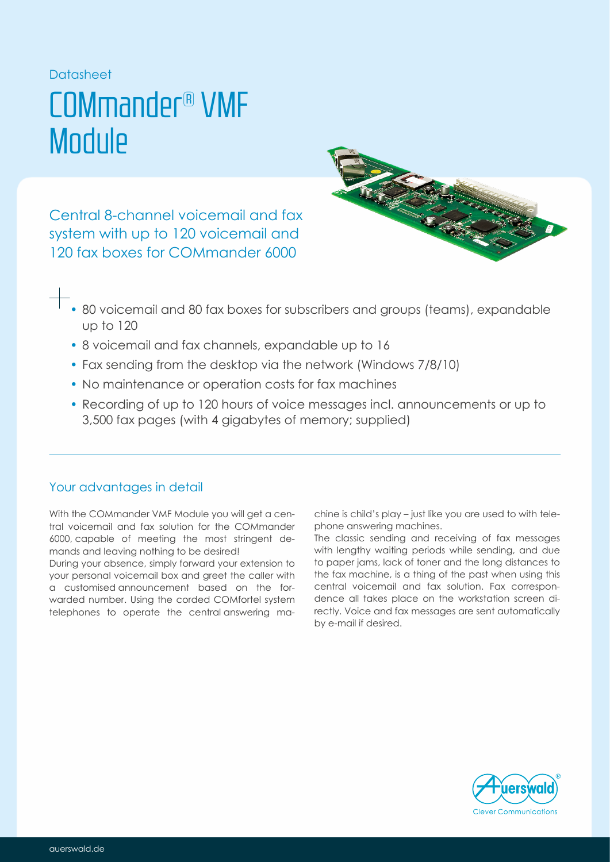### **Datasheet**

## COMmander® VMF **Module**

Central 8-channel voicemail and fax system with up to 120 voicemail and 120 fax boxes for COMmander 6000



- 80 voicemail and 80 fax boxes for subscribers and groups (teams), expandable up to 120
- 8 voicemail and fax channels, expandable up to 16
- Fax sending from the desktop via the network (Windows 7/8/10)
- No maintenance or operation costs for fax machines
- Recording of up to 120 hours of voice messages incl. announcements or up to 3,500 fax pages (with 4 gigabytes of memory; supplied)

## Your advantages in detail

With the COMmander VMF Module you will get a central voicemail and fax solution for the COMmander 6000, capable of meeting the most stringent demands and leaving nothing to be desired!

During your absence, simply forward your extension to your personal voicemail box and greet the caller with a customised announcement based on the forwarded number. Using the corded COMfortel system telephones to operate the central answering machine is child's play – just like you are used to with telephone answering machines.

The classic sending and receiving of fax messages with lengthy waiting periods while sending, and due to paper jams, lack of toner and the long distances to the fax machine, is a thing of the past when using this central voicemail and fax solution. Fax correspondence all takes place on the workstation screen directly. Voice and fax messages are sent automatically by e-mail if desired.